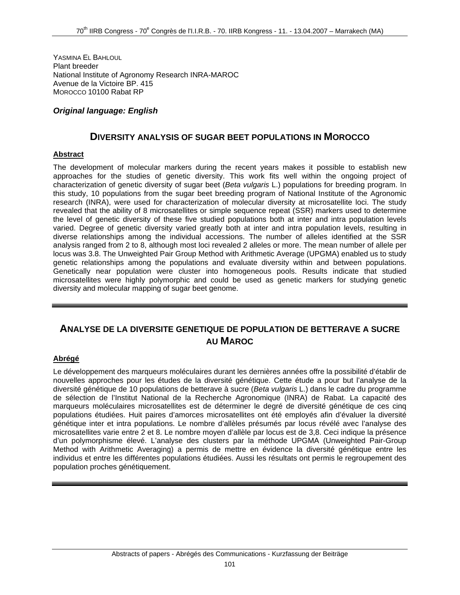YASMINA EL BAHLOUL Plant breeder National Institute of Agronomy Research INRA-MAROC Avenue de la Victoire BP. 415 MOROCCO 10100 Rabat RP

### *Original language: English*

## **DIVERSITY ANALYSIS OF SUGAR BEET POPULATIONS IN MOROCCO**

#### **Abstract**

The development of molecular markers during the recent years makes it possible to establish new approaches for the studies of genetic diversity. This work fits well within the ongoing project of characterization of genetic diversity of sugar beet (*Beta vulgaris* L.) populations for breeding program. In this study, 10 populations from the sugar beet breeding program of National Institute of the Agronomic research (INRA), were used for characterization of molecular diversity at microsatellite loci. The study revealed that the ability of 8 microsatellites or simple sequence repeat (SSR) markers used to determine the level of genetic diversity of these five studied populations both at inter and intra population levels varied. Degree of genetic diversity varied greatly both at inter and intra population levels, resulting in diverse relationships among the individual accessions. The number of alleles identified at the SSR analysis ranged from 2 to 8, although most loci revealed 2 alleles or more. The mean number of allele per locus was 3.8. The Unweighted Pair Group Method with Arithmetic Average (UPGMA) enabled us to study genetic relationships among the populations and evaluate diversity within and between populations. Genetically near population were cluster into homogeneous pools. Results indicate that studied microsatellites were highly polymorphic and could be used as genetic markers for studying genetic diversity and molecular mapping of sugar beet genome.

# **ANALYSE DE LA DIVERSITE GENETIQUE DE POPULATION DE BETTERAVE A SUCRE AU MAROC**

### **Abrégé**

Le développement des marqueurs moléculaires durant les dernières années offre la possibilité d'établir de nouvelles approches pour les études de la diversité génétique. Cette étude a pour but l'analyse de la diversité génétique de 10 populations de betterave à sucre (*Beta vulgaris* L.) dans le cadre du programme de sélection de l'Institut National de la Recherche Agronomique (INRA) de Rabat. La capacité des marqueurs moléculaires microsatellites est de déterminer le degré de diversité génétique de ces cinq populations étudiées. Huit paires d'amorces microsatellites ont été employés afin d'évaluer la diversité génétique inter et intra populations. Le nombre d'allèles présumés par locus révélé avec l'analyse des microsatellites varie entre 2 et 8. Le nombre moyen d'allèle par locus est de 3,8. Ceci indique la présence d'un polymorphisme élevé. L'analyse des clusters par la méthode UPGMA (Unweighted Pair-Group Method with Arithmetic Averaging) a permis de mettre en évidence la diversité génétique entre les individus et entre les différentes populations étudiées. Aussi les résultats ont permis le regroupement des population proches génétiquement.